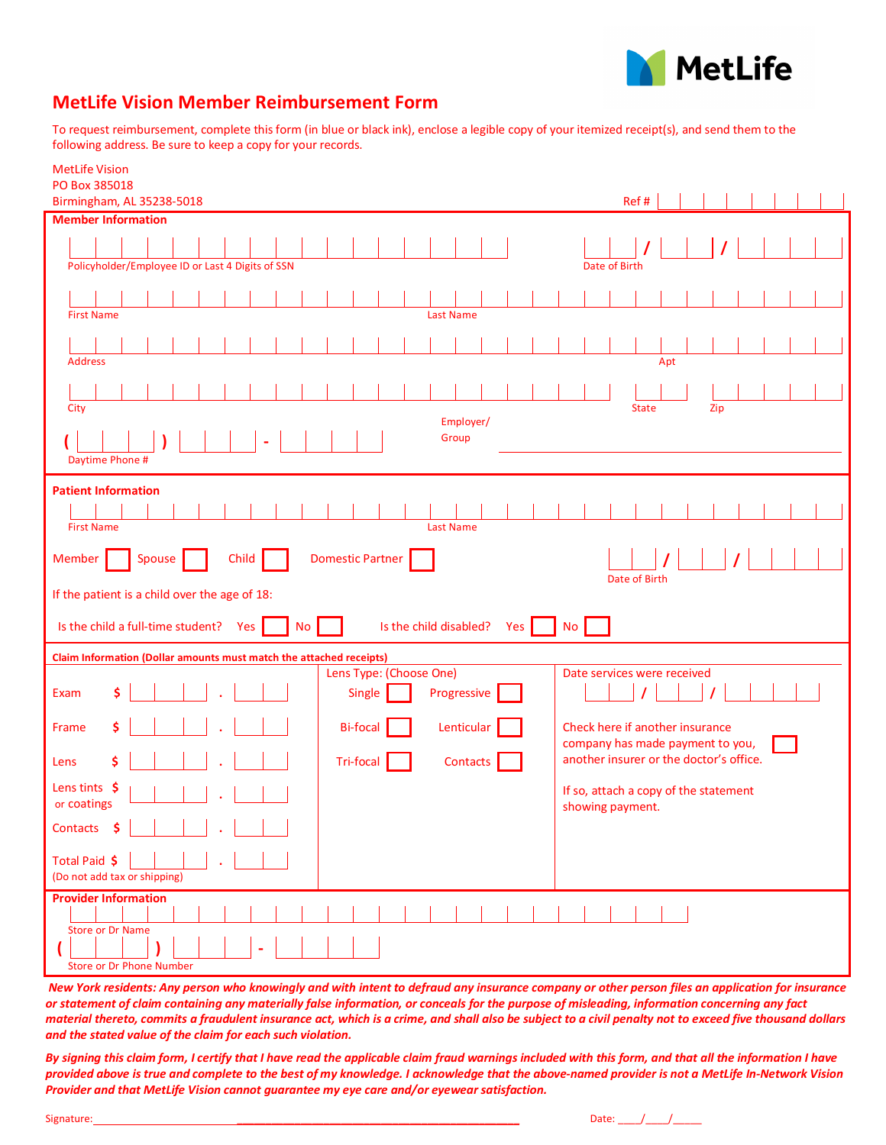

## **MetLife Vision Member Reimbursement Form**

To request reimbursement, complete this form (in blue or black ink), enclose a legible copy of your itemized receipt(s), and send them to the following address. Be sure to keep a copy for your records.

| <b>MetLife Vision</b><br>PO Box 385018                                                |                                                                     |
|---------------------------------------------------------------------------------------|---------------------------------------------------------------------|
| Birmingham, AL 35238-5018                                                             | Ref#                                                                |
| <b>Member Information</b>                                                             |                                                                     |
| Policyholder/Employee ID or Last 4 Digits of SSN                                      | Date of Birth                                                       |
|                                                                                       |                                                                     |
| <b>First Name</b><br><b>Last Name</b>                                                 |                                                                     |
|                                                                                       |                                                                     |
|                                                                                       |                                                                     |
| <b>Address</b>                                                                        | Apt                                                                 |
|                                                                                       |                                                                     |
| City<br>Employer/                                                                     | <b>State</b><br>Zip                                                 |
| Group                                                                                 |                                                                     |
| Daytime Phone #                                                                       |                                                                     |
| <b>Patient Information</b>                                                            |                                                                     |
|                                                                                       |                                                                     |
| <b>First Name</b><br><b>Last Name</b>                                                 |                                                                     |
| <b>Domestic Partner</b><br>Member<br>Spouse<br>Child                                  |                                                                     |
| Date of Birth<br>If the patient is a child over the age of 18:                        |                                                                     |
| Is the child a full-time student?<br>Yes<br>Is the child disabled?<br>Yes<br>No<br>No |                                                                     |
| Claim Information (Dollar amounts must match the attached receipts)                   |                                                                     |
| Lens Type: (Choose One)<br>\$<br>Progressive<br>Single<br>Exam                        | Date services were received                                         |
| Lenticular<br>\$<br><b>Bi-focal</b><br>Frame                                          | Check here if another insurance<br>company has made payment to you, |
| \$<br>Tri-focal<br>Contacts<br>Lens                                                   | another insurer or the doctor's office.                             |
| Lens tints \$<br>or coatings                                                          |                                                                     |
|                                                                                       | If so, attach a copy of the statement<br>showing payment.           |
| Contacts \$                                                                           |                                                                     |
| Total Paid \$<br>(Do not add tax or shipping)                                         |                                                                     |
| <b>Provider Information</b>                                                           |                                                                     |
| <b>Store or Dr Name</b><br><b>Store or Dr Phone Number</b>                            |                                                                     |

*New York residents: Any person who knowingly and with intent to defraud any insurance company or other person files an application for insurance or statement of claim containing any materially false information, or conceals for the purpose of misleading, information concerning any fact material thereto, commits a fraudulent insurance act, which is a crime, and shall also be subject to a civil penalty not to exceed five thousand dollars and the stated value of the claim for each such violation.*

*By signing this claim form, I certify that I have read the applicable claim fraud warnings included with this form, and that all the information I have provided above is true and complete to the best of my knowledge. I acknowledge that the above-named provider is not a MetLife In-Network Vision Provider and that MetLife Vision cannot guarantee my eye care and/or eyewear satisfaction.*